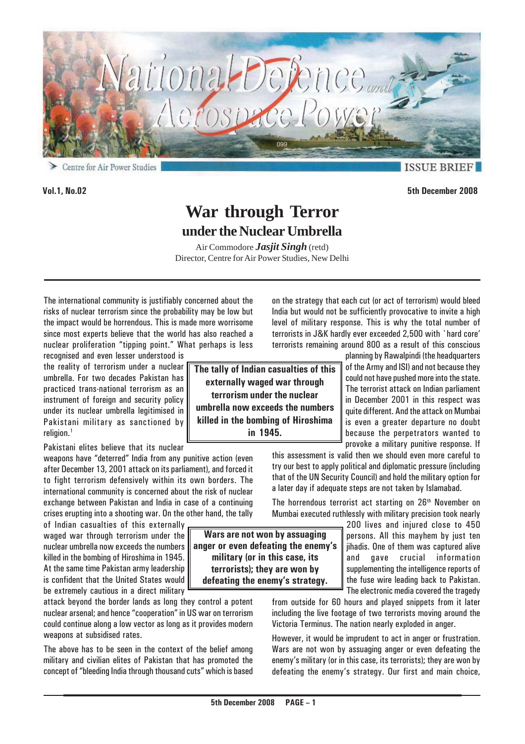

**Vol.1, No.02 5th December 2008**

**ISSUE BRI** 

**War through Terror under the Nuclear Umbrella**

Air Commodore *Jasjit Singh* (retd) Director, Centre for Air Power Studies, New Delhi

The international community is justifiably concerned about the risks of nuclear terrorism since the probability may be low but the impact would be horrendous. This is made more worrisome since most experts believe that the world has also reached a nuclear proliferation "tipping point." What perhaps is less

recognised and even lesser understood is the reality of terrorism under a nuclear umbrella. For two decades Pakistan has practiced trans-national terrorism as an instrument of foreign and security policy under its nuclear umbrella legitimised in Pakistani military as sanctioned by religion.<sup>1</sup>

Pakistani elites believe that its nuclear

weapons have "deterred" India from any punitive action (even after December 13, 2001 attack on its parliament), and forced it to fight terrorism defensively within its own borders. The international community is concerned about the risk of nuclear exchange between Pakistan and India in case of a continuing crises erupting into a shooting war. On the other hand, the tally

of Indian casualties of this externally waged war through terrorism under the nuclear umbrella now exceeds the numbers killed in the bombing of Hiroshima in 1945. At the same time Pakistan army leadership is confident that the United States would be extremely cautious in a direct military

attack beyond the border lands as long they control a potent nuclear arsenal; and hence "cooperation" in US war on terrorism could continue along a low vector as long as it provides modern weapons at subsidised rates.

The above has to be seen in the context of the belief among military and civilian elites of Pakistan that has promoted the concept of "bleeding India through thousand cuts" which is based

**The tally of Indian casualties of this externally waged war through terrorism under the nuclear umbrella now exceeds the numbers killed in the bombing of Hiroshima in 1945.**

**Wars are not won by assuaging anger or even defeating the enemy's military (or in this case, its terrorists); they are won by defeating the enemy's strategy.**

on the strategy that each cut (or act of terrorism) would bleed India but would not be sufficiently provocative to invite a high level of military response. This is why the total number of terrorists in J&K hardly ever exceeded 2,500 with `hard core' terrorists remaining around 800 as a result of this conscious

> planning by Rawalpindi (the headquarters of the Army and ISI) and not because they could not have pushed more into the state. The terrorist attack on Indian parliament in December 2001 in this respect was quite different. And the attack on Mumbai is even a greater departure no doubt because the perpetrators wanted to provoke a military punitive response. If

this assessment is valid then we should even more careful to try our best to apply political and diplomatic pressure (including that of the UN Security Council) and hold the military option for a later day if adequate steps are not taken by Islamabad.

The horrendous terrorist act starting on 26<sup>th</sup> November on Mumbai executed ruthlessly with military precision took nearly

> 200 lives and injured close to 450 persons. All this mayhem by just ten jihadis. One of them was captured alive and gave crucial information supplementing the intelligence reports of the fuse wire leading back to Pakistan. The electronic media covered the tragedy

from outside for 60 hours and played snippets from it later including the live footage of two terrorists moving around the Victoria Terminus. The nation nearly exploded in anger.

However, it would be imprudent to act in anger or frustration. Wars are not won by assuaging anger or even defeating the enemy's military (or in this case, its terrorists); they are won by defeating the enemy's strategy. Our first and main choice,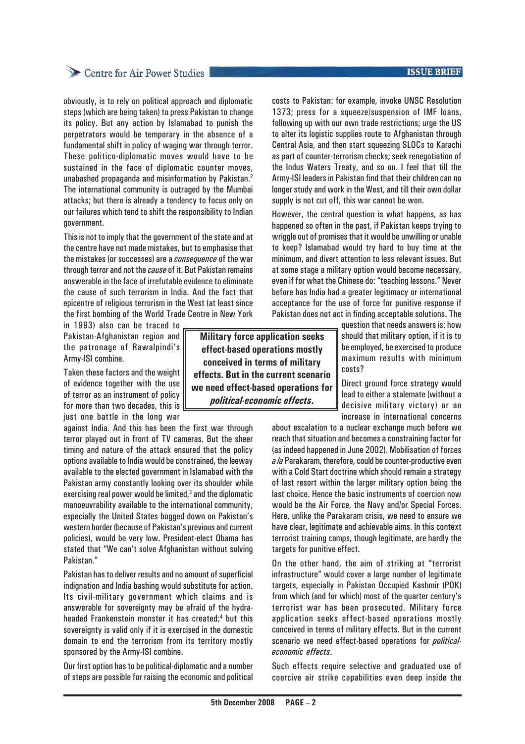obviously, is to rely on political approach and diplomatic steps (which are being taken) to press Pakistan to change its policy. But any action by Islamabad to punish the perpetrators would be temporary in the absence of a fundamental shift in policy of waging war through terror. These politico-diplomatic moves would have to be sustained in the face of diplomatic counter moves, unabashed propaganda and misinformation by Pakistan.2 The international community is outraged by the Mumbai attacks; but there is already a tendency to focus only on our failures which tend to shift the responsibility to Indian government.

This is not to imply that the government of the state and at the centre have not made mistakes, but to emphasise that the mistakes (or successes) are a *consequence* of the war through terror and not the *cause* of it. But Pakistan remains answerable in the face of irrefutable evidence to eliminate the cause of such terrorism in India. And the fact that epicentre of religious terrorism in the West (at least since the first bombing of the World Trade Centre in New York

in 1993) also can be traced to Pakistan-Afghanistan region and the patronage of Rawalpindi's Army-ISI combine.

Taken these factors and the weight of evidence together with the use of terror as an instrument of policy for more than two decades, this is just one battle in the long war

against India. And this has been the first war through terror played out in front of TV cameras. But the sheer timing and nature of the attack ensured that the policy options available to India would be constrained, the leeway available to the elected government in Islamabad with the Pakistan army constantly looking over its shoulder while exercising real power would be limited, $3$  and the diplomatic manoeuvrability available to the international community, especially the United States bogged down on Pakistan's western border (because of Pakistan's previous and current policies), would be very low. President-elect Obama has stated that "We can't solve Afghanistan without solving Pakistan."

Pakistan has to deliver results and no amount of superficial indignation and India bashing would substitute for action. Its civil-military government which claims and is answerable for sovereignty may be afraid of the hydraheaded Frankenstein monster it has created;4 but this sovereignty is valid only if it is exercised in the domestic domain to end the terrorism from its territory mostly sponsored by the Army-ISI combine.

Our first option has to be political-diplomatic and a number of steps are possible for raising the economic and political

**Military force application seeks effect-based operations mostly conceived in terms of military effects. But in the current scenario we need effect-based operations for** *political-economic effects***.**

**ISSUE BRIEF** 

costs to Pakistan: for example, invoke UNSC Resolution 1373; press for a squeeze/suspension of IMF loans, following up with our own trade restrictions; urge the US to alter its logistic supplies route to Afghanistan through Central Asia, and then start squeezing SLOCs to Karachi as part of counter-terrorism checks; seek renegotiation of the Indus Waters Treaty, and so on. I feel that till the Army-ISI leaders in Pakistan find that their children can no longer study and work in the West, and till their own dollar supply is not cut off, this war cannot be won.

However, the central question is what happens, as has happened so often in the past, if Pakistan keeps trying to wriggle out of promises that it would be unwilling or unable to keep? Islamabad would try hard to buy time at the minimum, and divert attention to less relevant issues. But at some stage a military option would become necessary, even if for what the Chinese do: "teaching lessons." Never before has India had a greater legitimacy or international acceptance for the use of force for punitive response if Pakistan does not act in finding acceptable solutions. The

question that needs answers is: how should that military option, if it is to be employed, be exercised to produce maximum results with minimum costs?

Direct ground force strategy would lead to either a stalemate (without a decisive military victory) or an increase in international concerns

about escalation to a nuclear exchange much before we reach that situation and becomes a constraining factor for (as indeed happened in June 2002). Mobilisation of forces *a la* Parakaram, therefore, could be counter-productive even with a Cold Start doctrine which should remain a strategy of last resort within the larger military option being the last choice. Hence the basic instruments of coercion now would be the Air Force, the Navy and/or Special Forces. Here, unlike the Parakaram crisis, we need to ensure we have clear, legitimate and achievable aims. In this context terrorist training camps, though legitimate, are hardly the targets for punitive effect.

On the other hand, the aim of striking at "terrorist infrastructure" would cover a large number of legitimate targets, especially in Pakistan Occupied Kashmir (POK) from which (and for which) most of the quarter century's terrorist war has been prosecuted. Military force application seeks effect-based operations mostly conceived in terms of military effects. But in the current scenario we need effect-based operations for *politicaleconomic effects*.

Such effects require selective and graduated use of coercive air strike capabilities even deep inside the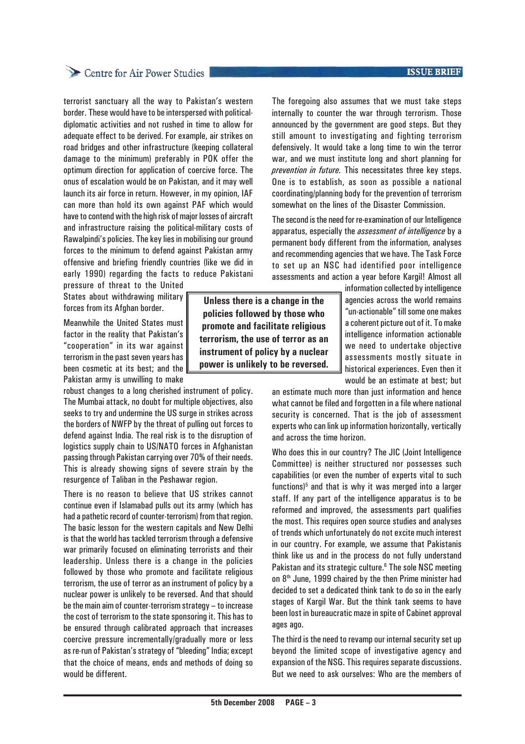terrorist sanctuary all the way to Pakistan's western border. These would have to be interspersed with politicaldiplomatic activities and not rushed in time to allow for adequate effect to be derived. For example, air strikes on road bridges and other infrastructure (keeping collateral damage to the minimum) preferably in POK offer the optimum direction for application of coercive force. The onus of escalation would be on Pakistan, and it may well launch its air force in return. However, in my opinion, IAF can more than hold its own against PAF which would have to contend with the high risk of major losses of aircraft and infrastructure raising the political-military costs of Rawalpindi's policies. The key lies in mobilising our ground forces to the minimum to defend against Pakistan army offensive and briefing friendly countries (like we did in early 1990) regarding the facts to reduce Pakistani

pressure of threat to the United States about withdrawing military forces from its Afghan border.

Meanwhile the United States must factor in the reality that Pakistan's "cooperation" in its war against terrorism in the past seven years has been cosmetic at its best; and the Pakistan army is unwilling to make

robust changes to a long cherished instrument of policy. The Mumbai attack, no doubt for multiple objectives, also seeks to try and undermine the US surge in strikes across the borders of NWFP by the threat of pulling out forces to defend against India. The real risk is to the disruption of logistics supply chain to US/NATO forces in Afghanistan passing through Pakistan carrying over 70% of their needs. This is already showing signs of severe strain by the resurgence of Taliban in the Peshawar region.

There is no reason to believe that US strikes cannot continue even if Islamabad pulls out its army (which has had a pathetic record of counter-terrorism) from that region. The basic lesson for the western capitals and New Delhi is that the world has tackled terrorism through a defensive war primarily focused on eliminating terrorists and their leadership. Unless there is a change in the policies followed by those who promote and facilitate religious terrorism, the use of terror as an instrument of policy by a nuclear power is unlikely to be reversed. And that should be the main aim of counter-terrorism strategy – to increase the cost of terrorism to the state sponsoring it. This has to be ensured through calibrated approach that increases coercive pressure incrementally/gradually more or less as re-run of Pakistan's strategy of "bleeding" India; except that the choice of means, ends and methods of doing so would be different.

**Unless there is a change in the policies followed by those who promote and facilitate religious terrorism, the use of terror as an instrument of policy by a nuclear power is unlikely to be reversed.**

The foregoing also assumes that we must take steps internally to counter the war through terrorism. Those announced by the government are good steps. But they still amount to investigating and fighting terrorism defensively. It would take a long time to win the terror war, and we must institute long and short planning for *prevention in future.* This necessitates three key steps. One is to establish, as soon as possible a national coordinating/planning body for the prevention of terrorism somewhat on the lines of the Disaster Commission.

The second is the need for re-examination of our Intelligence apparatus, especially the *assessment of intelligence* by a permanent body different from the information, analyses and recommending agencies that we have. The Task Force to set up an NSC had identified poor intelligence assessments and action a year before Kargil! Almost all

> information collected by intelligence agencies across the world remains "un-actionable" till some one makes a coherent picture out of it. To make intelligence information actionable we need to undertake objective assessments mostly situate in historical experiences. Even then it would be an estimate at best; but

an estimate much more than just information and hence what cannot be filed and forgotten in a file where national security is concerned. That is the job of assessment experts who can link up information horizontally, vertically and across the time horizon.

Who does this in our country? The JIC (Joint Intelligence Committee) is neither structured nor possesses such capabilities (or even the number of experts vital to such functions)<sup>5</sup> and that is why it was merged into a larger staff. If any part of the intelligence apparatus is to be reformed and improved, the assessments part qualifies the most. This requires open source studies and analyses of trends which unfortunately do not excite much interest in our country. For example, we assume that Pakistanis think like us and in the process do not fully understand Pakistan and its strategic culture.<sup>6</sup> The sole NSC meeting on 8<sup>th</sup> June, 1999 chaired by the then Prime minister had decided to set a dedicated think tank to do so in the early stages of Kargil War. But the think tank seems to have been lost in bureaucratic maze in spite of Cabinet approval ages ago.

The third is the need to revamp our internal security set up beyond the limited scope of investigative agency and expansion of the NSG. This requires separate discussions. But we need to ask ourselves: Who are the members of

### **ISSUE BRIEF**